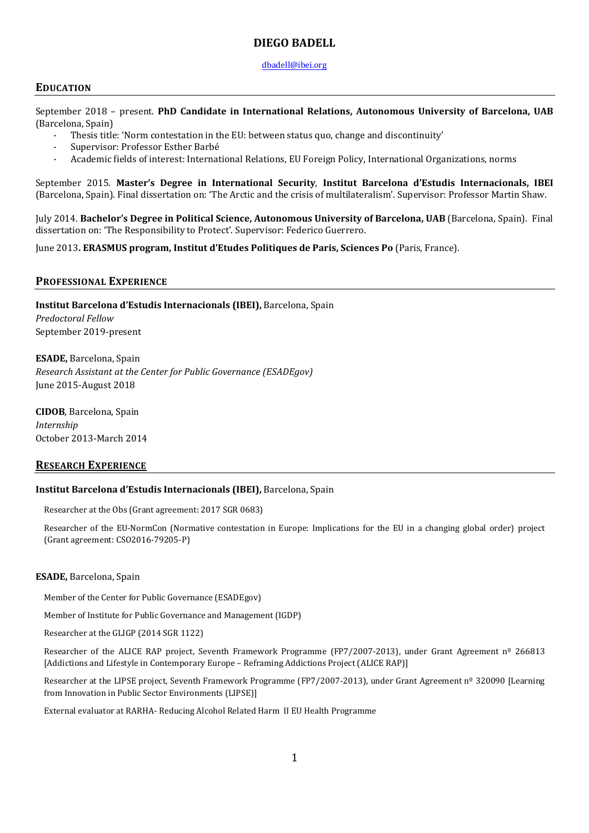## **DIEGO BADELL**

### [dbadell@](mailto:dbadell@ibei.org)ibei.org

## **EDUCATION**

September 2018 – present. **PhD Candidate in International Relations, Autonomous University of Barcelona, UAB**  (Barcelona, Spain)

- Thesis title: 'Norm contestation in the EU: between status quo, change and discontinuity'
- Supervisor: Professor Esther Barbé
- Academic fields of interest: International Relations, EU Foreign Policy, International Organizations, norms

September 2015. **Master's Degree in International Security**, **Institut Barcelona d'Estudis Internacionals, IBEI** (Barcelona, Spain). Final dissertation on: 'The Arctic and the crisis of multilateralism'. Supervisor: Professor Martin Shaw.

July 2014. **Bachelor's Degree in Political Science, Autonomous University of Barcelona, UAB** (Barcelona, Spain). Final dissertation on: 'The Responsibility to Protect'. Supervisor: Federico Guerrero.

June 2013**. ERASMUS program, Institut d'Etudes Politiques de Paris, Sciences Po** (Paris, France).

## **PROFESSIONAL EXPERIENCE**

**Institut Barcelona d'Estudis Internacionals (IBEI),** Barcelona, Spain *Predoctoral Fellow* September 2019-present

**ESADE,** Barcelona, Spain *Research Assistant at the Center for Public Governance (ESADEgov)* June 2015-August 2018

**CIDOB**, Barcelona, Spain *Internship*  October 2013-March 2014

## **RESEARCH EXPERIENCE**

### **Institut Barcelona d'Estudis Internacionals (IBEI),** Barcelona, Spain

Researcher at the Obs (Grant agreement: 2017 SGR 0683)

Researcher of the EU-NormCon (Normative contestation in Europe: Implications for the EU in a changing global order) project (Grant agreement: CSO2016-79205-P)

### **ESADE,** Barcelona, Spain

Member of the Center for Public Governance (ESADEgov)

Member of Institute for Public Governance and Management (IGDP)

Researcher at the GLIGP (2014 SGR 1122)

Researcher of the ALICE RAP project, Seventh Framework Programme (FP7/2007-2013), under Grant Agreement nº 266813 [Addictions and Lifestyle in Contemporary Europe – Reframing Addictions Project (ALICE RAP)]

Researcher at the LIPSE project, Seventh Framework Programme (FP7/2007-2013), under Grant Agreement nº 320090 [Learning from Innovation in Public Sector Environments (LIPSE)]

External evaluator at RARHA- Reducing Alcohol Related Harm II EU Health Programme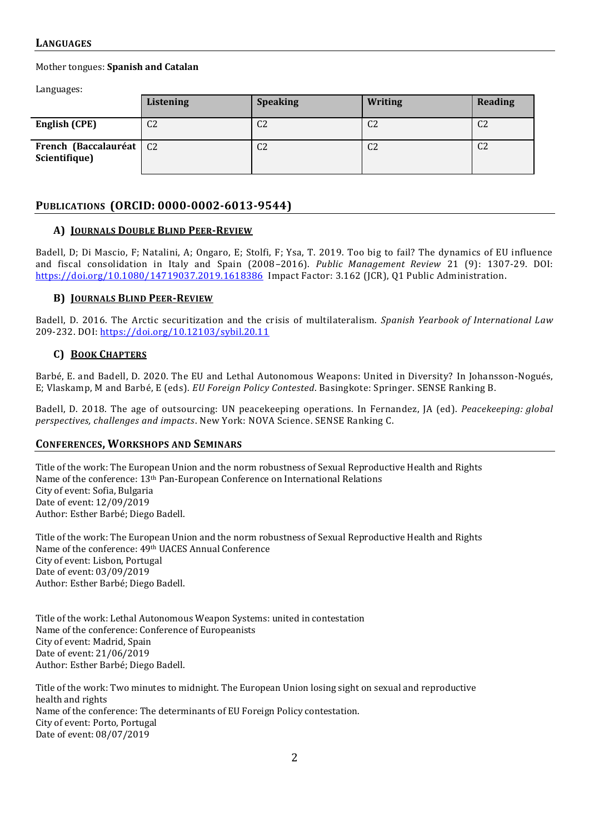## **LANGUAGES**

Mother tongues: **Spanish and Catalan**

Languages:

|                                            | Listening      | <b>Speaking</b> | <b>Writing</b> | Reading        |
|--------------------------------------------|----------------|-----------------|----------------|----------------|
| English (CPE)                              | C <sub>2</sub> | C <sub>2</sub>  | $\cap$<br>U4   | C <sub>2</sub> |
| French (Baccalauréat   C2<br>Scientifique) |                | C <sub>2</sub>  | $\cap$<br>UZ.  | C <sub>2</sub> |

# **PUBLICATIONS (ORCID: 0000-0002-6013-9544)**

### **A) JOURNALS DOUBLE BLIND PEER-REVIEW**

Badell, D; Di Mascio, F; Natalini, A; Ongaro, E; Stolfi, F; Ysa, T. 2019. Too big to fail? The dynamics of EU influence and fiscal consolidation in Italy and Spain (2008–2016). *Public Management Review* 21 (9): 1307-29. DOI: <https://doi.org/10.1080/14719037.2019.1618386>Impact Factor: 3.162 (JCR), Q1 Public Administration.

## **B) JOURNALS BLIND PEER-REVIEW**

Badell, D. 2016. The Arctic securitization and the crisis of multilateralism. *Spanish Yearbook of International Law* 209-232. DOI:<https://doi.org/10.12103/sybil.20.11>

## **C) BOOK CHAPTERS**

Barbé, E. and Badell, D. 2020. The EU and Lethal Autonomous Weapons: United in Diversity? In Johansson-Nogués, E; Vlaskamp, M and Barbé, E (eds). *EU Foreign Policy Contested*. Basingkote: Springer. SENSE Ranking B.

Badell, D. 2018. The age of outsourcing: UN peacekeeping operations. In Fernandez, JA (ed). *Peacekeeping: global perspectives, challenges and impacts*. New York: NOVA Science. SENSE Ranking C.

## **CONFERENCES, WORKSHOPS AND SEMINARS**

Title of the work: The European Union and the norm robustness of Sexual Reproductive Health and Rights Name of the conference: 13th Pan-European Conference on International Relations City of event: Sofia, Bulgaria Date of event: 12/09/2019 Author: Esther Barbé; Diego Badell.

Title of the work: The European Union and the norm robustness of Sexual Reproductive Health and Rights Name of the conference: 49th UACES Annual Conference City of event: Lisbon, Portugal Date of event: 03/09/2019 Author: Esther Barbé; Diego Badell.

Title of the work: Lethal Autonomous Weapon Systems: united in contestation Name of the conference: Conference of Europeanists City of event: Madrid, Spain Date of event: 21/06/2019 Author: Esther Barbé; Diego Badell.

Title of the work: Two minutes to midnight. The European Union losing sight on sexual and reproductive health and rights Name of the conference: The determinants of EU Foreign Policy contestation. City of event: Porto, Portugal Date of event: 08/07/2019